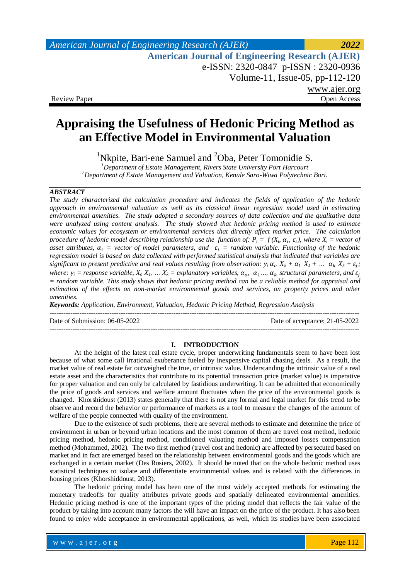# **Appraising the Usefulness of Hedonic Pricing Method as an Effective Model in Environmental Valuation**

<sup>1</sup>Nkpite, Bari-ene Samuel and  ${}^{2}$ Oba, Peter Tomonidie S.

*<sup>1</sup>Department of Estate Management, Rivers State University Port Harcourt <sup>2</sup>Department of Estate Management and Valuation, Kenule Saro-Wiwa Polytechnic Bori.*

#### *ABSTRACT*

*The study characterized the calculation procedure and indicates the fields of application of the hedonic approach in environmental valuation as well as its classical linear regression model used in estimating environmental amenities. The study adopted a secondary sources of data collection and the qualitative data were analyzed using content analysis. The study showed that hedonic pricing method is used to estimate economic values for ecosystem or environmental services that directly affect market price. The calculation procedure of hedonic model describing relationship use the function of:*  $P_i = f(X_i, \alpha_i, \varepsilon_i)$ , where  $X_i$  = vector of asset attributes,  $\alpha_i$  = vector of model parameters, and  $\varepsilon_i$  = random variable. Functioning of the hedonic *regression model is based on data collected with performed statistical analysis that indicated that variables are significant to present predictive and real values resulting from observation:*  $y_i \alpha_o X_o + \alpha_1 X_I + ... \alpha_k X_k + \varepsilon_j$ *; where:*  $y_i$  = *response variable,*  $X_o X_l$ , ...  $X_k$  = *explanatory variables,*  $\alpha_o$ ,  $\alpha_1$ ...,  $\alpha_k$  *structural parameters, and = random variable. This study shows that hedonic pricing method can be a reliable method for appraisal and estimation of the effects on non-market environmental goods and services, on property prices and other amenities.*

*Keywords: Application, Environment, Valuation, Hedonic Pricing Method, Regression Analysis*

---------------------------------------------------------------------------------------------------------------------------------------

Date of Submission: 06-05-2022 Date of acceptance: 21-05-2022

---------------------------------------------------------------------------------------------------------------------------------------

#### **I. INTRODUCTION**

At the height of the latest real estate cycle, proper underwriting fundamentals seem to have been lost because of what some call irrational exuberance fueled by inexpensive capital chasing deals. As a result, the market value of real estate far outweighed the true, or intrinsic value. Understanding the intrinsic value of a real estate asset and the characteristics that contribute to its potential transaction price (market value) is imperative for proper valuation and can only be calculated by fastidious underwriting. It can be admitted that economically the price of goods and services and welfare amount fluctuates when the price of the environmental goods is changed. Khorshidoust (2013) states generally that there is not any formal and legal market for this trend to be observe and record the behavior or performance of markets as a tool to measure the changes of the amount of welfare of the people connected with quality of the environment.

Due to the existence of such problems, there are several methods to estimate and determine the price of environment in urban or beyond urban locations and the most common of them are travel cost method, hedonic pricing method, hedonic pricing method, conditioned valuating method and imposed losses compensation method (Mohammed, 2002). The two first method (travel cost and hedonic) are affected by persecuted based on market and in fact are emerged based on the relationship between environmental goods and the goods which are exchanged in a certain market (Des Rosiers, 2002). It should be noted that on the whole hedonic method uses statistical techniques to isolate and differentiate environmental values and is related with the differences in housing prices (Khorshiddoust, 2013).

The hedonic pricing model has been one of the most widely accepted methods for estimating the monetary tradeoffs for quality attributes private goods and spatially delineated environmental amenities. Hedonic pricing method is one of the important types of the pricing model that reflects the fair value of the product by taking into account many factors the will have an impact on the price of the product. It has also been found to enjoy wide acceptance in environmental applications, as well, which its studies have been associated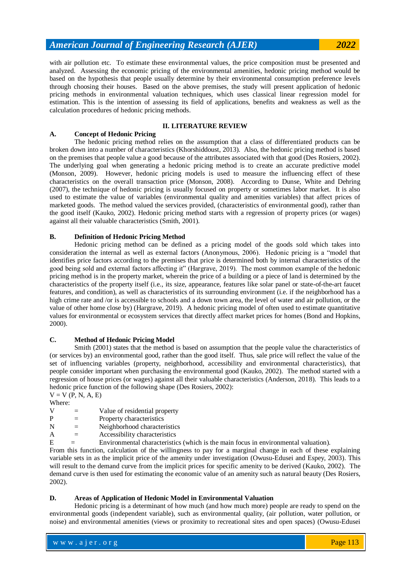with air pollution etc. To estimate these environmental values, the price composition must be presented and analyzed. Assessing the economic pricing of the environmental amenities, hedonic pricing method would be based on the hypothesis that people usually determine by their environmental consumption preference levels through choosing their houses. Based on the above premises, the study will present application of hedonic pricing methods in environmental valuation techniques, which uses classical linear regression model for estimation. This is the intention of assessing its field of applications, benefits and weakness as well as the calculation procedures of hedonic pricing methods.

#### **II. LITERATURE REVIEW A. Concept of Hedonic Pricing**

The hedonic pricing method relies on the assumption that a class of differentiated products can be broken down into a number of characteristics (Khorshiddoust, 2013). Also, the hedonic pricing method is based on the premises that people value a good because of the attributes associated with that good (Des Rosiers, 2002). The underlying goal when generating a hedonic pricing method is to create an accurate predictive model (Monson, 2009). However, hedonic pricing models is used to measure the influencing effect of these characteristics on the overall transaction price (Monson, 2008). According to Dunse, White and Dehring (2007), the technique of hedonic pricing is usually focused on property or sometimes labor market. It is also used to estimate the value of variables (environmental quality and amenities variables) that affect prices of marketed goods. The method valued the services provided, (characteristics of environmental good), rather than the good itself (Kauko, 2002). Hedonic pricing method starts with a regression of property prices (or wages) against all their valuable characteristics (Smith, 2001).

# **B. Definition of Hedonic Pricing Method**

Hedonic pricing method can be defined as a pricing model of the goods sold which takes into consideration the internal as well as external factors (Anonymous, 2006). Hedonic pricing is a "model that identifies price factors according to the premises that price is determined both by internal characteristics of the good being sold and external factors affecting it" (Hargrave, 2019). The most common example of the hedonic pricing method is in the property market, wherein the price of a building or a piece of land is determined by the characteristics of the property itself (i.e., its size, appearance, features like solar panel or state-of-the-art faucet features, and condition), as well as characteristics of its surrounding environment (i.e. if the neighborhood has a high crime rate and /or is accessible to schools and a down town area, the level of water and air pollution, or the value of other home close by) (Hargrave, 2019). A hedonic pricing model of often used to estimate quantitative values for environmental or ecosystem services that directly affect market prices for homes (Bond and Hopkins, 2000).

# **C. Method of Hedonic Pricing Model**

Smith (2001) states that the method is based on assumption that the people value the characteristics of (or services by) an environmental good, rather than the good itself. Thus, sale price will reflect the value of the set of influencing variables (property, neighborhood, accessibility and environmental characteristics), that people consider important when purchasing the environmental good (Kauko, 2002). The method started with a regression of house prices (or wages) against all their valuable characteristics (Anderson, 2018). This leads to a hedonic price function of the following shape (Des Rosiers, 2002):

 $V = V (P, N, A, E)$ Where:

| v | Value of residential property |
|---|-------------------------------|
|   |                               |

| P | Property characteristics |
|---|--------------------------|

- $N =$  Neighborhood characteristics
- $A =$  Accessibility characteristics
- $E =$  Environmental characteristics (which is the main focus in environmental valuation).

From this function, calculation of the willingness to pay for a marginal change in each of these explaining variable sets in as the implicit price of the amenity under investigation (Owusu-Edusei and Espey, 2003). This will result to the demand curve from the implicit prices for specific amenity to be derived (Kauko, 2002). The demand curve is then used for estimating the economic value of an amenity such as natural beauty (Des Rosiers, 2002).

# **D. Areas of Application of Hedonic Model in Environmental Valuation**

Hedonic pricing is a determinant of how much (and how much more) people are ready to spend on the environmental goods (independent variable), such as environmental quality, (air pollution, water pollution, or noise) and environmental amenities (views or proximity to recreational sites and open spaces) (Owusu-Edusei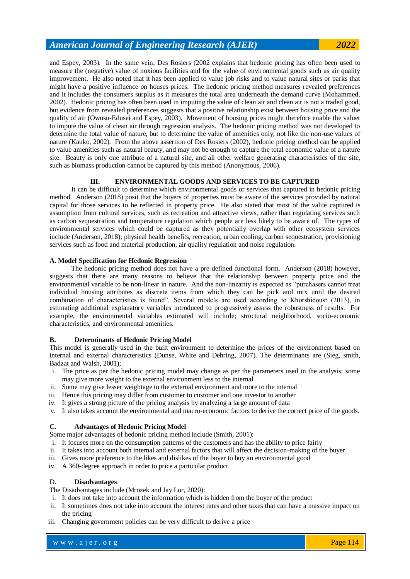and Espey, 2003). In the same vein, Des Rosiers (2002 explains that hedonic pricing has often been used to measure the (negative) value of noxious facilities and for the value of environmental goods such as air quality improvement. He also noted that it has been applied to value job risks and to value natural sites or parks that might have a positive influence on houses prices. The hedonic pricing method measures revealed preferences and it includes the consumers surplus as it measures the total area underneath the demand curve (Mohammed, 2002). Hedonic pricing has often been used in imputing the value of clean air and clean air is not a traded good, but evidence from revealed preferences suggests that a positive relationship exist between housing price and the quality of air (Owusu-Edusei and Espey, 2003). Movement of housing prices might therefore enable the valuer to impute the value of clean air through regression analysis. The hedonic pricing method was not developed to determine the total value of nature, but to determine the value of amenities only, not like the non-use values of nature (Kauko, 2002). From the above assertion of Des Rosiers (2002), hedonic pricing method can be applied to value amenities such as natural beauty, and may not be enough to capture the total economic value of a nature site. Beauty is only one attribute of a natural site, and all other welfare generating characteristics of the site, such as biomass production cannot be captured by this method (Anonymous, 2006).

# **III. ENVIRONMENTAL GOODS AND SERVICES TO BE CAPTURED**

It can be difficult to determine which environmental goods or services that captured in hedonic pricing method. Anderson (2018) posit that the buyers of properties must be aware of the services provided by natural capital for those services to be reflected in property price. He also stated that most of the value captured is assumption from cultural services, such as recreation and attractive views, rather than regulating services such as carbon sequestration and temperature regulation which people are less likely to be aware of. The types of environmental services which could be captured as they potentially overlap with other ecosystem services include (Anderson, 2018); physical health benefits, recreation, urban cooling, carbon sequestration, provisioning services such as food and material production, air quality regulation and noise regulation.

#### **A. Model Specification for Hedonic Regression**

The hedonic pricing method does not have a pre-defined functional form. Anderson (2018) however, suggests that there are many reasons to believe that the relationship between property price and the environmental variable to be non-linear in nature. And the non-linearity is expected as "purchasers cannot treat individual housing attributes as discrete items from which they can be pick and mix until the desired combination of characteristics is found". Several models are used according to Khorshidoust (2013), in estimating additional explanatory variables introduced to progressively assess the robustness of results. For example, the environmental variables estimated will include; structural neighborhood, socio-economic characteristics, and environmental amenities.

#### **B. Determinants of Hedonic Pricing Model**

This model is generally used in the built environment to determine the prices of the environment based on internal and external characteristics (Dunse, White and Dehring, 2007). The determinants are (Sieg, smith, Badzat and Walsh, 2001);

- i. The price as per the hedonic pricing model may change as per the parameters used in the analysis; some may give more weight to the external environment less to the internal
- ii. Some may give lesser weightage to the external environment and more to the internal
- iii. Hence this pricing may differ from customer to customer and one investor to another
- iv. It gives a strong picture of the pricing analysis by analyzing a large amount of data
- v. It also takes account the environmental and macro-economic factors to derive the correct price of the goods.

#### **C. Advantages of Hedonic Pricing Model**

Some major advantages of hedonic pricing method include (Smith, 2001):

- i. It focuses more on the consumption patterns of the customers and has the ability to price fairly
- ii. It takes into account both internal and external factors that will affect the decision-making of the buyer
- iii. Gives more preference to the likes and dislikes of the buyer to buy an environmental good
- iv. A 360-degree approach in order to price a particular product.

#### D. **Disadvantages**

The Disadvantages include (Mrozek and Jay Lor, 2020):

- i. It does not take into account the information which is hidden from the buyer of the product
- ii. It sometimes does not take into account the interest rates and other taxes that can have a massive impact on the pricing
- iii. Changing government policies can be very difficult to derive a price

w w w . a j e r . o r g where  $\mathcal{L} = \mathcal{L} \left( \mathcal{L} \right)$  is the set of  $\mathcal{L} \left( \mathcal{L} \right)$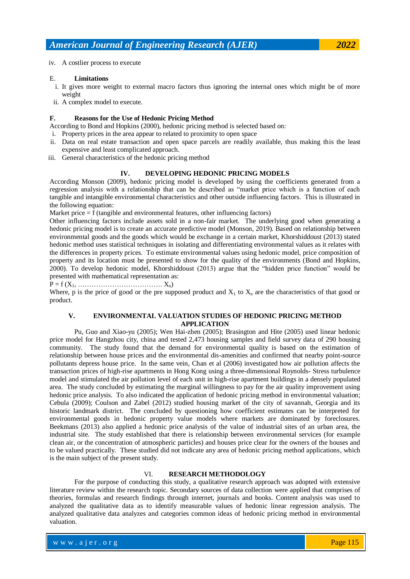### iv. A costlier process to execute

### E. **Limitations**

- i. It gives more weight to external macro factors thus ignoring the internal ones which might be of more weight
- ii. A complex model to execute.

# **F. Reasons for the Use of Hedonic Pricing Method**

According to Bond and Hopkins (2000), hedonic pricing method is selected based on:

- i. Property prices in the area appear to related to proximity to open space
- ii. Data on real estate transaction and open space parcels are readily available, thus making this the least expensive and least complicated approach.
- iii. General characteristics of the hedonic pricing method

# **IV. DEVELOPING HEDONIC PRICING MODELS**

According Monson (2009), hedonic pricing model is developed by using the coefficients generated from a regression analysis with a relationship that can be described as "market price which is a function of each tangible and intangible environmental characteristics and other outside influencing factors. This is illustrated in the following equation:

Market price = f (tangible and environmental features, other influencing factors)

Other influencing factors include assets sold in a non-fair market. The underlying good when generating a hedonic pricing model is to create an accurate predictive model (Monson, 2019). Based on relationship between environmental goods and the goods which would be exchange in a certain market, Khorshiddoust (2013) stated hedonic method uses statistical techniques in isolating and differentiating environmental values as it relates with the differences in property prices. To estimate environmental values using hedonic model, price composition of property and its location must be presented to show for the quality of the environments (Bond and Hopkins, 2000). To develop hedonic model, Khorshiddoust (2013) argue that the "hidden price function" would be presented with mathematical representation as:

 $P = f(X_1, \ldots, \ldots, \ldots, \ldots, \ldots, \ldots, X_n)$ 

Where, p is the price of good or the pre supposed product and  $X_1$  to  $X_n$  are the characteristics of that good or product.

# **V. ENVIRONMENTAL VALUATION STUDIES OF HEDONIC PRICING METHOD APPLICATION**

Pu, Guo and Xiao-yu (2005); Wen Hai-zhen (2005); Brasington and Hite (2005) used linear hedonic price model for Hangzhou city, china and tested 2,473 housing samples and field survey data of 290 housing community. The study found that the demand for environmental quality is based on the estimation of relationship between house prices and the environmental dis-amenities and confirmed that nearby point-source pollutants depress house price. In the same vein, Chan et al (2006) investigated how air pollution affects the transaction prices of high-rise apartments in Hong Kong using a three-dimensional Roynolds- Stress turbulence model and stimulated the air pollution level of each unit in high-rise apartment buildings in a densely populated area. The study concluded by estimating the marginal willingness to pay for the air quality improvement using hedonic price analysis. To also indicated the application of hedonic pricing method in environmental valuation; Cebula (2009); Coulson and Zabel (2012) studied housing market of the city of savannah, Georgia and its historic landmark district. The concluded by questioning how coefficient estimates can be interpreted for environmental goods in hedonic property value models where markets are dominated by foreclosures. Beekmans (2013) also applied a hedonic price analysis of the value of industrial sites of an urban area, the industrial site. The study established that there is relationship between environmental services (for example clean air, or the concentration of atmospheric particles) and houses price clear for the owners of the houses and to be valued practically. These studied did not indicate any area of hedonic pricing method applications, which is the main subject of the present study.

# VI. **RESEARCH METHODOLOGY**

For the purpose of conducting this study, a qualitative research approach was adopted with extensive literature review within the research topic. Secondary sources of data collection were applied that comprises of theories, formulas and research findings through internet, journals and books. Content analysis was used to analyzed the qualitative data as to identify measurable values of hedonic linear regression analysis. The analyzed qualitative data analyzes and categories common ideas of hedonic pricing method in environmental valuation.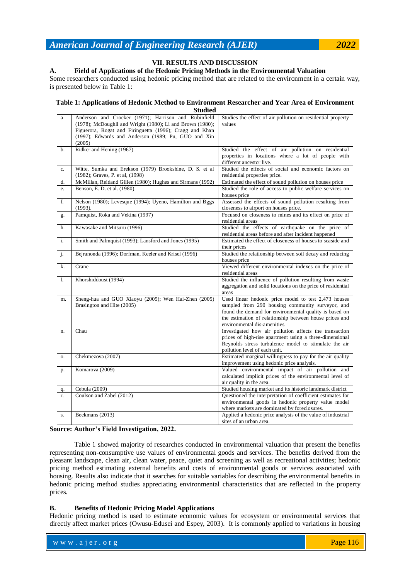# **VII. RESULTS AND DISCUSSION**

#### **A. Field of Applications of the Hedonic Pricing Methods in the Environmental Valuation**

Some researchers conducted using hedonic pricing method that are related to the environment in a certain way, is presented below in Table 1:

# **Table 1: Applications of Hedonic Method to Environment Researcher and Year Area of Environment**

|    | <b>Studied</b>                                                                                                                                                                                                                                |                                                                                                                                                                                                                                                               |  |  |  |  |
|----|-----------------------------------------------------------------------------------------------------------------------------------------------------------------------------------------------------------------------------------------------|---------------------------------------------------------------------------------------------------------------------------------------------------------------------------------------------------------------------------------------------------------------|--|--|--|--|
| a  | Anderson and Crocker (1971); Harrison and Rubinfield<br>(1978); McDoughll and Wright (1980); Li and Brown (1980);<br>Figuerora, Rogat and Firinguetta (1996); Cragg and Khan<br>(1997); Edwards and Anderson (1989; Pu, GUO and Xin<br>(2005) | Studies the effect of air pollution on residential property<br>values                                                                                                                                                                                         |  |  |  |  |
| b. | Ridker and Hening (1967)                                                                                                                                                                                                                      | Studied the effect of air pollution on residential<br>properties in locations where a lot of people with<br>different ancestor live.                                                                                                                          |  |  |  |  |
| c. | Witte, Sumka and Erekson (1979) Brookshine, D. S. et al.<br>(1982); Graves, P. et al, (1998)                                                                                                                                                  | Studied the effects of social and economic factors on<br>residential properties price.                                                                                                                                                                        |  |  |  |  |
| d. | McMillan, Reidand Gillen (1980); Hughes and Sirmans (1992)                                                                                                                                                                                    | Estimated the effect of sound pollution on houses price                                                                                                                                                                                                       |  |  |  |  |
| e. | Benson, E. D. et al. (1980)                                                                                                                                                                                                                   | Studied the role of access to public welfare services on<br>houses price                                                                                                                                                                                      |  |  |  |  |
| f. | Nelson (1980); Levesque (1994); Uyeno, Hamilton and Bggs<br>(1993).                                                                                                                                                                           | Assessed the effects of sound pollution resulting from<br>closeness to airport on houses price.                                                                                                                                                               |  |  |  |  |
| g. | Pamquist, Roka and Vekina (1997)                                                                                                                                                                                                              | Focused on closeness to mines and its effect on price of<br>residential areas                                                                                                                                                                                 |  |  |  |  |
| h. | Kawasake and Mitsuru (1996)                                                                                                                                                                                                                   | Studied the effects of earthquake on the price of<br>residential areas before and after incident happened                                                                                                                                                     |  |  |  |  |
| i. | Smith and Palmquist (1993); Lansford and Jones (1995)                                                                                                                                                                                         | Estimated the effect of closeness of houses to seaside and<br>their prices                                                                                                                                                                                    |  |  |  |  |
| j. | Bejranonda (1996); Dorfman, Keeler and Krisel (1996)                                                                                                                                                                                          | Studied the relationship between soil decay and reducing<br>houses price                                                                                                                                                                                      |  |  |  |  |
| k. | Crane                                                                                                                                                                                                                                         | Viewed different environmental indexes on the price of<br>residential areas                                                                                                                                                                                   |  |  |  |  |
| 1. | Khorshiddoust (1994)                                                                                                                                                                                                                          | Studied the influence of pollution resulting from waste<br>aggregation and solid locations on the price of residential<br>areas                                                                                                                               |  |  |  |  |
| m. | Sheng-hua and GUO Xiaoyu (2005); Wen Hai-Zhen (2005)<br>Brasington and Hite (2005)                                                                                                                                                            | Used linear hedonic price model to test 2,473 houses<br>sampled from 290 housing community surveyor, and<br>found the demand for environmental quality is based on<br>the estimation of relationship between house prices and<br>environmental dis-amenities. |  |  |  |  |
| n. | Chau                                                                                                                                                                                                                                          | Investigated how air pollution affects the transaction<br>prices of high-rise apartment using a three-dimensional<br>Reynolds stress turbulence model to stimulate the air<br>pollution level of each unit.                                                   |  |  |  |  |
| 0. | Chekmezova (2007)                                                                                                                                                                                                                             | Estimated marginal willingness to pay for the air quality<br>improvement using hedonic price analysis.                                                                                                                                                        |  |  |  |  |
| p. | Komarova (2009)                                                                                                                                                                                                                               | Valued environmental impact of air pollution and<br>calculated implicit prices of the environmental level of<br>air quality in the area.                                                                                                                      |  |  |  |  |
| q. | Cebula (2009)                                                                                                                                                                                                                                 | Studied housing market and its historic landmark district                                                                                                                                                                                                     |  |  |  |  |
| r. | Coulson and Zabel (2012)                                                                                                                                                                                                                      | Questioned the interpretation of coefficient estimates for                                                                                                                                                                                                    |  |  |  |  |
|    |                                                                                                                                                                                                                                               | environmental goods in hedonic property value model<br>where markets are dominated by foreclosures.                                                                                                                                                           |  |  |  |  |
| S. | Beekmans (2013)                                                                                                                                                                                                                               | Applied a hedonic price analysis of the value of industrial<br>sites of an urban area.                                                                                                                                                                        |  |  |  |  |

### **Source: Author's Field Investigation, 2022.**

Table 1 showed majority of researches conducted in environmental valuation that present the benefits representing non-consumptive use values of environmental goods and services. The benefits derived from the pleasant landscape, clean air, clean water, peace, quiet and screening as well as recreational activities; hedonic pricing method estimating external benefits and costs of environmental goods or services associated with housing. Results also indicate that it searches for suitable variables for describing the environmental benefits in hedonic pricing method studies appreciating environmental characteristics that are reflected in the property prices.

#### **B. Benefits of Hedonic Pricing Model Applications**

Hedonic pricing method is used to estimate economic values for ecosystem or environmental services that directly affect market prices (Owusu-Edusei and Espey, 2003). It is commonly applied to variations in housing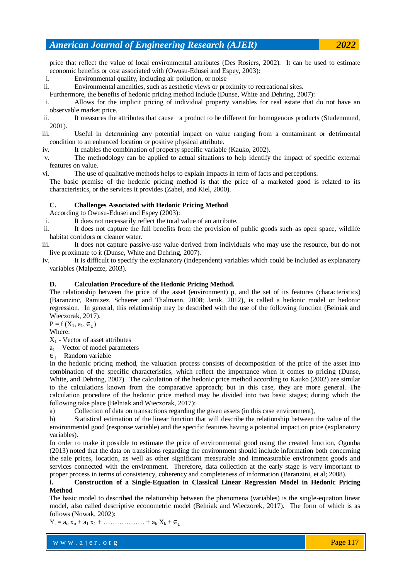price that reflect the value of local environmental attributes (Des Rosiers, 2002). It can be used to estimate economic benefits or cost associated with (Owusu-Edusei and Espey, 2003):

i. Environmental quality, including air pollution, or noise

ii. Environmental amenities, such as aesthetic views or proximity to recreational sites.

Furthermore, the benefits of hedonic pricing method include (Dunse, White and Dehring, 2007):

i. Allows for the implicit pricing of individual property variables for real estate that do not have an observable market price.

ii. It measures the attributes that cause a product to be different for homogenous products (Studenmund, 2001).

iii. Useful in determining any potential impact on value ranging from a contaminant or detrimental condition to an enhanced location or positive physical attribute.

iv. It enables the combination of property specific variable (Kauko, 2002).

v. The methodology can be applied to actual situations to help identify the impact of specific external features on value.

vi. The use of qualitative methods helps to explain impacts in term of facts and perceptions.

The basic premise of the hedonic pricing method is that the price of a marketed good is related to its characteristics, or the services it provides (Zabel, and Kiel, 2000).

# **C. Challenges Associated with Hedonic Pricing Method**

According to Owusu-Edusei and Espey (2003):

i. It does not necessarily reflect the total value of an attribute.

ii. It does not capture the full benefits from the provision of public goods such as open space, wildlife habitat corridors or cleaner water.

iii. It does not capture passive-use value derived from individuals who may use the resource, but do not live proximate to it (Dunse, White and Dehring, 2007).

iv. It is difficult to specify the explanatory (independent) variables which could be included as explanatory variables (Malpezze, 2003).

# **D. Calculation Procedure of the Hedonic Pricing Method.**

The relationship between the price of the asset (environment) p, and the set of its features (characteristics) (Baranzinc, Ramizez, Schaerer and Thalmann, 2008; Janik, 2012), is called a hedonic model or hedonic regression. In general, this relationship may be described with the use of the following function (Belniak and Wieczorak, 2017).

 $P = f(X_1, a_1, \epsilon_1)$ 

Where:

 $X_1$  - Vector of asset attributes

 $a_1$  – Vector of model parameters

 $\epsilon_1$  – Random variable

In the hedonic pricing method, the valuation process consists of decomposition of the price of the asset into combination of the specific characteristics, which reflect the importance when it comes to pricing (Dunse, White, and Dehring, 2007). The calculation of the hedonic price method according to Kauko (2002) are similar to the calculations known from the comparative approach; but in this case, they are more general. The calculation procedure of the hedonic price method may be divided into two basic stages; during which the following take place (Belniak and Wieczorak, 2017):

a) Collection of data on transactions regarding the given assets (in this case environment),

b) Statistical estimation of the linear function that will describe the relationship between the value of the environmental good (response variable) and the specific features having a potential impact on price (explanatory variables).

In order to make it possible to estimate the price of environmental good using the created function, Ogunba (2013) noted that the data on transitions regarding the environment should include information both concerning the sale prices, location, as well as other significant measurable and immeasurable environment goods and services connected with the environment. Therefore, data collection at the early stage is very important to proper process in terms of consistency, coherency and completeness of information (Baranzini, et al; 2008).

# **i. Construction of a Single-Equation in Classical Linear Regression Model in Hedonic Pricing Method**

The basic model to described the relationship between the phenomena (variables) is the single-equation linear model, also called descriptive econometric model (Belniak and Wieczorek, 2017). The form of which is as follows (Nowak, 2002):

 $Y_i = a_0 x_0 + a_1 x_1 + \dots + a_k X_k + \epsilon_1$ 

w w w . a j e r . o r g where  $\mathcal{L} = \mathcal{L} \left( \mathcal{L} \right)$  is the set of  $\mathcal{L} \left( \mathcal{L} \right)$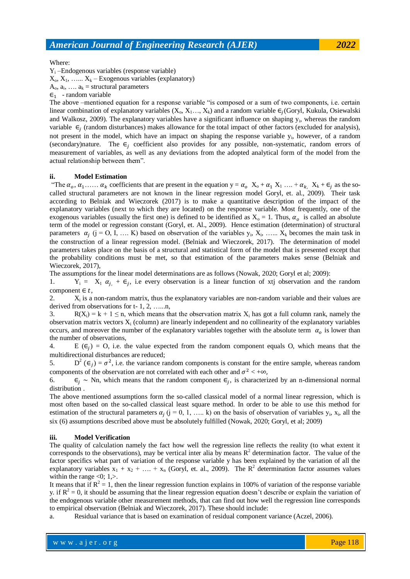#### Where:

Y<sup>i</sup> –Endogenous variables (response variable)

 $X_0, X_1, \ldots, X_k$  – Exogenous variables (explanatory)

 $A_0$ ,  $a_i$ , ...  $a_k$  = structural parameters

 $\epsilon_1$  - random variable

The above –mentioned equation for a response variable "is composed or a sum of two components, i.e. certain linear combination of explanatory variables  $(X_0, X_1..., X_k)$  and a random variable  $\epsilon_i$  (Goryl, Kukula, Osiewalski and Walkosz, 2009). The explanatory variables have a significant influence on shaping  $y_i$ , whereas the random variable  $\epsilon_i$  (random disturbances) makes allowance for the total impact of other factors (excluded for analysis), not present in the model, which have an impact on shaping the response variable y<sub>i</sub>, however, of a random (secondary)nature. The  $\epsilon_i$  coefficient also provides for any possible, non-systematic, random errors of measurement of variables, as well as any deviations from the adopted analytical form of the model from the actual relationship between them".

#### **ii. Model Estimation**

"The  $\alpha_0, \alpha_1, \ldots, \alpha_k$  coefficients that are present in the equation  $y = \alpha_0 X_0 + \alpha_1 X_1 \ldots + \alpha_k X_k + \epsilon_j$  as the socalled structural parameters are not known in the linear regression model Goryl, et. al., 2009). Their task according to Belniak and Wieczorek (2017) is to make a quantitative description of the impact of the explanatory variables (next to which they are located) on the response variable. Most frequently, one of the exogenous variables (usually the first one) is defined to be identified as  $X_0 = 1$ . Thus,  $\alpha_o$  is called an absolute term of the model or regression constant (Goryl, et. Al., 2009). Hence estimation (determination) of structural parameters  $\alpha_j$  (j = O, I, ... K) based on observation of the variables  $y_i$ ,  $X_i$ , ...  $X_k$  becomes the main task in the construction of a linear regression model. (Belniak and Wieczorek, 2017). The determination of model parameters takes place on the basis of a structural and statistical form of the model that is presented except that the probability conditions must be met, so that estimation of the parameters makes sense (Belniak and Wieczorek, 2017),

The assumptions for the linear model determinations are as follows (Nowak, 2020; Goryl et al; 2009):

1.  $Y_i = X_1 \alpha_{i} + \epsilon_i$ , i.e every observation is a linear function of xtj observation and the random component  $\in t$ ,

2.  $X_i$  is a non-random matrix, thus the explanatory variables are non-random variable and their values are derived from observations for t- 1, 2, …...n,

3. R(X<sub>i</sub>) = k + 1 ≤ n, which means that the observation matrix X<sub>i</sub> has got a full column rank, namely the observation matrix vectors  $X_i$  (column) are linearly independent and no collinearity of the explanatory variables occurs, and moreover the number of the explanatory variables together with the absolute term  $\alpha_0$  is lower than the number of observations,

4. E  $(\epsilon_i) = 0$ , i.e. the value expected from the random component equals O, which means that the multidirectional disturbances are reduced;

5.  $D^2(\epsilon_i) = \sigma^2$ , i.e. the variance random components is constant for the entire sample, whereas random components of the observation are not correlated with each other and  $\sigma^2$  < + $\infty$ 

6.  $\epsilon_i \sim \text{Nn}$ , which means that the random component  $\epsilon_i$ , is characterized by an n-dimensional normal distribution .

The above mentioned assumptions form the so-called classical model of a normal linear regression, which is most often based on the so-called classical least square method. In order to be able to use this method for estimation of the structural parameters  $\alpha_j$  ( $j = 0, 1, \ldots$  k) on the basis of observation of variables  $y_i$ ,  $x_i$ , all the six (6) assumptions described above must be absolutely fulfilled (Nowak, 2020; Goryl, et al; 2009)

#### **iii. Model Verification**

The quality of calculation namely the fact how well the regression line reflects the reality (to what extent it corresponds to the observations), may be vertical inter alia by means  $\mathbb{R}^2$  determination factor. The value of the factor specifics what part of variation of the response variable y has been explained by the variation of all the explanatory variables  $x_1 + x_2 + ... + x_n$  (Goryl, et. al., 2009). The  $R^2$  determination factor assumes values within the range  $\langle 0; 1, \rangle$ .

It means that if  $R^2 = 1$ , then the linear regression function explains in 100% of variation of the response variable y. if  $R^2 = 0$ , it should be assuming that the linear regression equation doesn't describe or explain the variation of the endogenous variable other measurement methods, that can find out how well the regression line corresponds to empirical observation (Belniak and Wieczorek, 2017). These should include:

a. Residual variance that is based on examination of residual component variance (Aczel, 2006).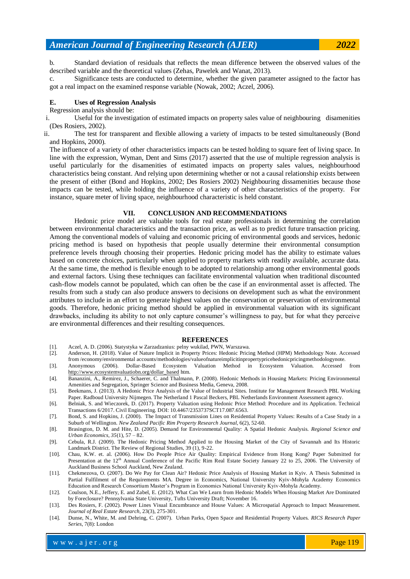b. Standard deviation of residuals that reflects the mean difference between the observed values of the described variable and the theoretical values (Zehas, Pawelek and Wanat, 2013).

c. Significance tests are conducted to determine, whether the given parameter assigned to the factor has got a real impact on the examined response variable (Nowak, 2002; Aczel, 2006).

# **E. Uses of Regression Analysis**

Regression analysis should be:

i. Useful for the investigation of estimated impacts on property sales value of neighbouring disamenities (Des Rosiers, 2002).

ii. The test for transparent and flexible allowing a variety of impacts to be tested simultaneously (Bond and Hopkins, 2000).

The influence of a variety of other characteristics impacts can be tested holding to square feet of living space. In line with the expression, Wyman, Dent and Sims (2017) asserted that the use of multiple regression analysis is useful particularly for the disamenities of estimated impacts on property sales values, neighbourhood characteristics being constant. And relying upon determining whether or not a causal relationship exists between the present of either (Bond and Hopkins, 2002; Des Rosiers 2002) Neighbouring dissamenities because those impacts can be tested, while holding the influence of a variety of other characteristics of the property. For instance, square meter of living space, neighbourhood characteristic is held constant.

#### **VII. CONCLUSION AND RECOMMENDATIONS**

Hedonic price model are valuable tools for real estate professionals in determining the correlation between environmental characteristics and the transaction price, as well as to predict future transaction pricing. Among the conventional models of valuing and economic pricing of environmental goods and services, hedonic pricing method is based on hypothesis that people usually determine their environmental consumption preference levels through choosing their properties. Hedonic pricing model has the ability to estimate values based on concrete choices, particularly when applied to property markets with readily available, accurate data. At the same time, the method is flexible enough to be adopted to relationship among other environmental goods and external factors. Using these techniques can facilitate environmental valuation when traditional discounted cash-flow models cannot be populated, which can often be the case if an environmental asset is affected. The results from such a study can also produce answers to decisions on development such as what the environment attributes to include in an effort to generate highest values on the conservation or preservation of environmental goods. Therefore, hedonic pricing method should be applied in environmental valuation with its significant drawbacks, including its ability to not only capture consumer's willingness to pay, but for what they perceive are environmental differences and their resulting consequences.

#### **REFERENCES**

- [1]. Aczel, A. D. (2006). Statystyka w Zarzadzanius: pelny wukilad, PWN, Warszawa.
- [2]. Anderson, H. (2018). Value of Nature Implicit in Property Prices: Hedonic Pricing Method (HPM) Methodology Note. Accessed from /economy/environmental accounts/methodologies/valueofnatureimplicitinpropertypricehedonicpricingmethodologynote.
- [3]. Anonymous (2006). Dollar-Based Ecosystem Valuation Method in Ecosystem Valuation. Accessed from [http://www.ecosystemvaluatiobn.org/dollar\\_based](http://www.ecosystemvaluatiobn.org/dollar_based) htm.
- [4]. Bananzini, A., Remirez, J., Schaerer, C. and Thalmann, P. (2008). Hedonic Methods in Housing Markets: Pricing Environmental Amenities and Segregation, Springer Science and Business Media, Geneva, 2008.
- [5]. Beekmans, J. (2013). A Hedonic Price Analysis of the Value of Industrial Sites. Institute for Management Research PBL Working Paper. Radboud University Nijmegen. The Netherland 1 Pascal Beckers, PBL Netherlands Environment Assessment agency.
- [6]. Belniak, S. and Wieczorek, D. (2017). Property Valuation using Hedonic Price Method: Procedure and its Application. Technical Transactions 6/2017. Civil Engineering. DOI: 10.4467/2353737SCT17.087.6563.
- [7]. Bond, S. and Hopkins, J. (2000). The Impact of Transmission Lines on Residential Property Values: Results of a Case Study in a Suburb of Wellington. *New Zealand Pacific Rim Property Research Journal*, 6(2), 52-60.
- [8]. Brasington, D. M. and Hite, D. (2005). Demand for Environmental Quality: A Spatial Hedonic Analysis. *Regional Science and Urban Economics, 35*(1), 57 – 82.
- [9]. Cebula, R.J. (2009). The Hedonic Pricing Method Applied to the Housing Market of the City of Savannah and Its Historic Landmark District. The Review of Regional Studies, 39 (1), 9-22.
- [10]. Chau, K.W. et. al. (2006). How Do People Price Air Quality: Empirical Evidence from Hong Kong? Paper Submitted for Presentation at the 12<sup>th</sup> Annual Conference of the Pacific Rim Real Estate Society January 22 to 25, 2006. The University of Auckland Business School Auckland, New Zealand.
- [11]. Chekmezova, O. (2007). Do We Pay for Clean Air? Hedonic Price Analysis of Housing Market in Kyiv. A Thesis Submitted in Partial Fulfilment of the Requirements MA. Degree in Economics, National University Kyiv-Mohyla Academy Economics Education and Research Consortium Master's Program in Economics National University Kyiv-Mohyla Academy.
- [12]. Coulson, N.E., Jeffery, E. and Zabel, E. (2012). What Can We Learn from Hedonic Models When Housing Market Are Dominated by Foreclosure? Pennsylvania State University, Tufts University Draft; November 16.
- [13]. Des Rosiers, F. (2002). Power Lines Visual Encumbrance and House Values: A Microspatial Approach to Impact Measurement. *Journal of Real Estate Research,* 23(3), 275-301.
- [14]. Dunse, N., White, M. and Dehring, C. (2007). Urban Parks, Open Space and Residential Property Values. *RICS Research Paper Series*, 7(8): London